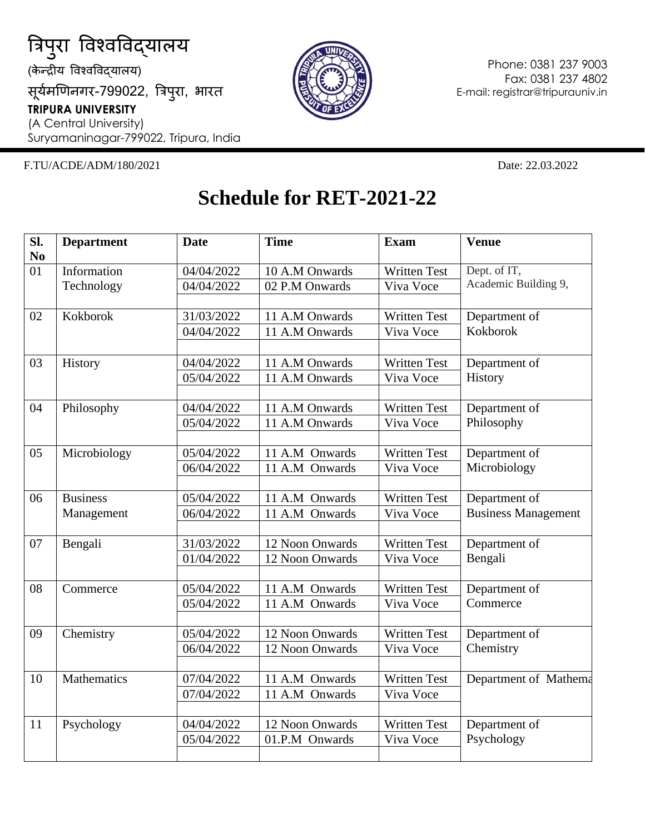

सूर्यमणिनगर-799022, त्रिपुरा, भारत **TRIPURA UNIVERSITY** (A Central University)

Suryamaninagar-799022, Tripura, India

## F.TU/ACDE/ADM/180/2021 Date: 22.03.2022

Phone: 0381 237 9003 Fax: 0381 237 4802 E-mail: registrar@tripurauniv.in

## **Schedule for RET-2021-22**

| SI. | <b>Department</b> | <b>Date</b> | <b>Time</b>     | <b>Exam</b>         | <b>Venue</b>               |
|-----|-------------------|-------------|-----------------|---------------------|----------------------------|
| No  |                   |             |                 |                     |                            |
| 01  | Information       | 04/04/2022  | 10 A.M Onwards  | <b>Written Test</b> | Dept. of IT,               |
|     | Technology        | 04/04/2022  | 02 P.M Onwards  | Viva Voce           | Academic Building 9,       |
|     |                   |             |                 |                     |                            |
| 02  | Kokborok          | 31/03/2022  | 11 A.M Onwards  | <b>Written Test</b> | Department of              |
|     |                   | 04/04/2022  | 11 A.M Onwards  | Viva Voce           | Kokborok                   |
| 03  | History           | 04/04/2022  | 11 A.M Onwards  | <b>Written Test</b> | Department of              |
|     |                   | 05/04/2022  | 11 A.M Onwards  | Viva Voce           | History                    |
|     |                   |             |                 |                     |                            |
| 04  | Philosophy        | 04/04/2022  | 11 A.M Onwards  | <b>Written Test</b> | Department of              |
|     |                   | 05/04/2022  | 11 A.M Onwards  | Viva Voce           | Philosophy                 |
| 05  | Microbiology      | 05/04/2022  | 11 A.M Onwards  | <b>Written Test</b> | Department of              |
|     |                   | 06/04/2022  | 11 A.M Onwards  | Viva Voce           | Microbiology               |
|     |                   |             |                 |                     |                            |
| 06  | <b>Business</b>   | 05/04/2022  | 11 A.M Onwards  | Written Test        | Department of              |
|     | Management        | 06/04/2022  | 11 A.M Onwards  | Viva Voce           | <b>Business Management</b> |
| 07  | Bengali           | 31/03/2022  | 12 Noon Onwards | <b>Written Test</b> | Department of              |
|     |                   | 01/04/2022  | 12 Noon Onwards | Viva Voce           | Bengali                    |
|     |                   |             |                 |                     |                            |
| 08  | Commerce          | 05/04/2022  | 11 A.M Onwards  | Written Test        | Department of              |
|     |                   | 05/04/2022  | 11 A.M Onwards  | Viva Voce           | Commerce                   |
| 09  | Chemistry         | 05/04/2022  | 12 Noon Onwards | <b>Written Test</b> | Department of              |
|     |                   | 06/04/2022  | 12 Noon Onwards | Viva Voce           | Chemistry                  |
|     |                   |             |                 |                     |                            |
| 10  | Mathematics       | 07/04/2022  | 11 A.M Onwards  | <b>Written Test</b> | Department of Mathema      |
|     |                   | 07/04/2022  | 11 A.M Onwards  | Viva Voce           |                            |
| 11  | Psychology        | 04/04/2022  | 12 Noon Onwards | Written Test        | Department of              |
|     |                   | 05/04/2022  | 01.P.M Onwards  | Viva Voce           | Psychology                 |
|     |                   |             |                 |                     |                            |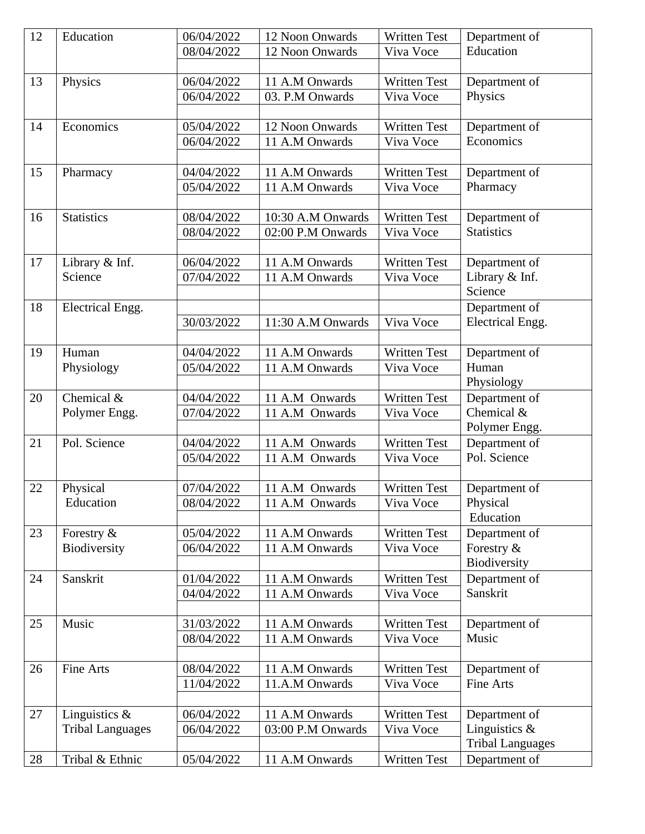| 12 | Education               | 06/04/2022 | 12 Noon Onwards   | <b>Written Test</b> | Department of                     |
|----|-------------------------|------------|-------------------|---------------------|-----------------------------------|
|    |                         | 08/04/2022 | 12 Noon Onwards   | Viva Voce           | Education                         |
|    |                         |            |                   |                     |                                   |
| 13 | Physics                 | 06/04/2022 | 11 A.M Onwards    | <b>Written Test</b> | Department of                     |
|    |                         | 06/04/2022 | 03. P.M Onwards   | Viva Voce           | Physics                           |
|    |                         |            |                   |                     |                                   |
| 14 | Economics               | 05/04/2022 | 12 Noon Onwards   | <b>Written Test</b> | Department of                     |
|    |                         | 06/04/2022 | 11 A.M Onwards    | Viva Voce           | Economics                         |
|    |                         |            |                   |                     |                                   |
| 15 | Pharmacy                | 04/04/2022 | 11 A.M Onwards    | <b>Written Test</b> | Department of                     |
|    |                         | 05/04/2022 | 11 A.M Onwards    | Viva Voce           | Pharmacy                          |
|    |                         |            |                   |                     |                                   |
| 16 | <b>Statistics</b>       | 08/04/2022 | 10:30 A.M Onwards | <b>Written Test</b> | Department of                     |
|    |                         | 08/04/2022 | 02:00 P.M Onwards | Viva Voce           | <b>Statistics</b>                 |
|    |                         |            |                   |                     |                                   |
| 17 | Library & Inf.          | 06/04/2022 | 11 A.M Onwards    | <b>Written Test</b> | Department of                     |
|    | Science                 | 07/04/2022 | 11 A.M Onwards    | Viva Voce           | Library & Inf.                    |
|    |                         |            |                   |                     | Science                           |
| 18 | Electrical Engg.        |            |                   |                     | Department of                     |
|    |                         | 30/03/2022 | 11:30 A.M Onwards | Viva Voce           | <b>Electrical Engg.</b>           |
|    |                         |            |                   |                     |                                   |
| 19 | Human                   | 04/04/2022 | 11 A.M Onwards    | <b>Written Test</b> | Department of                     |
|    | Physiology              | 05/04/2022 | 11 A.M Onwards    | Viva Voce           | Human                             |
|    |                         |            |                   |                     | Physiology                        |
| 20 | Chemical &              | 04/04/2022 | 11 A.M Onwards    | <b>Written Test</b> | Department of                     |
|    | Polymer Engg.           | 07/04/2022 | 11 A.M Onwards    | Viva Voce           | Chemical &                        |
|    |                         |            |                   |                     | Polymer Engg.                     |
| 21 | Pol. Science            | 04/04/2022 | 11 A.M Onwards    | <b>Written Test</b> | Department of                     |
|    |                         | 05/04/2022 | 11 A.M Onwards    | Viva Voce           | Pol. Science                      |
|    |                         |            |                   |                     |                                   |
| 22 | Physical                | 07/04/2022 | 11 A.M Onwards    | <b>Written Test</b> | Department of                     |
|    | Education               | 08/04/2022 | 11 A.M Onwards    | Viva Voce           | Physical                          |
|    |                         |            |                   |                     | Education                         |
| 23 | Forestry $\&$           | 05/04/2022 | 11 A.M Onwards    | <b>Written Test</b> | Department of                     |
|    | Biodiversity            | 06/04/2022 | 11 A.M Onwards    | Viva Voce           | Forestry &                        |
|    |                         |            |                   |                     | Biodiversity                      |
| 24 | Sanskrit                | 01/04/2022 | 11 A.M Onwards    | <b>Written Test</b> | Department of                     |
|    |                         | 04/04/2022 | 11 A.M Onwards    | Viva Voce           | Sanskrit                          |
|    |                         |            |                   |                     |                                   |
| 25 | Music                   | 31/03/2022 | 11 A.M Onwards    | <b>Written Test</b> | Department of                     |
|    |                         | 08/04/2022 | 11 A.M Onwards    | Viva Voce           | Music                             |
| 26 | Fine Arts               | 08/04/2022 | 11 A.M Onwards    | <b>Written Test</b> |                                   |
|    |                         |            |                   |                     | Department of<br><b>Fine Arts</b> |
|    |                         | 11/04/2022 | 11.A.M Onwards    | Viva Voce           |                                   |
| 27 | Linguistics $\&$        | 06/04/2022 | 11 A.M Onwards    | <b>Written Test</b> |                                   |
|    | <b>Tribal Languages</b> | 06/04/2022 | 03:00 P.M Onwards | Viva Voce           | Department of<br>Linguistics $\&$ |
|    |                         |            |                   |                     | <b>Tribal Languages</b>           |
|    |                         |            |                   |                     |                                   |
| 28 | Tribal & Ethnic         | 05/04/2022 | 11 A.M Onwards    | <b>Written Test</b> | Department of                     |